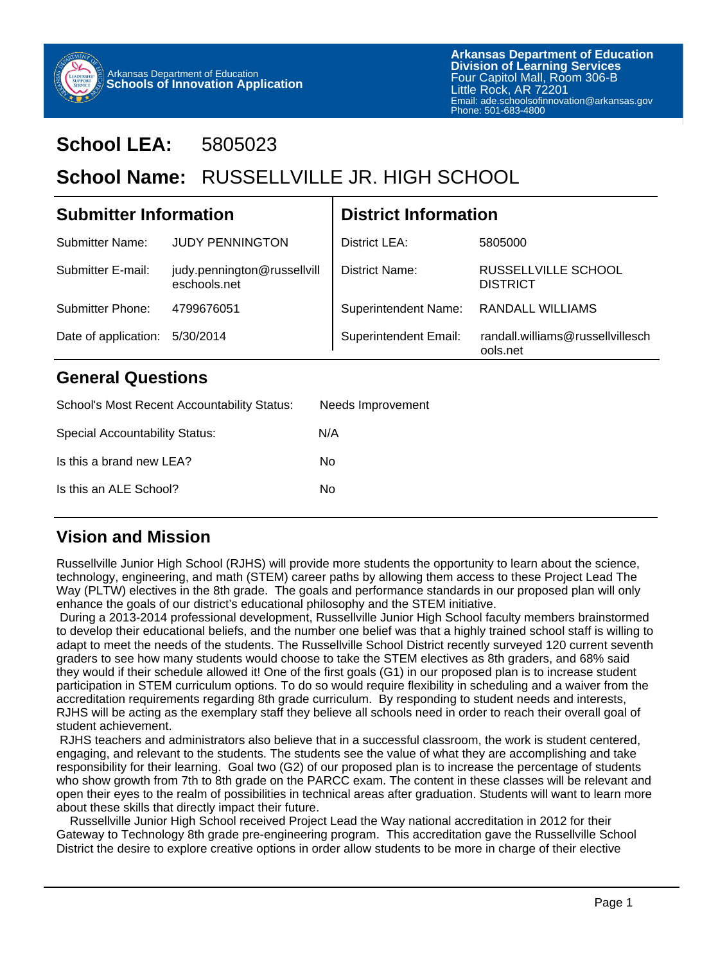

## **School LEA:** 5805023

# School Name: RUSSELLVILLE JR. HIGH SCHOOL

| <b>Submitter Information</b> |                                             | <b>District Information</b>  |                                              |
|------------------------------|---------------------------------------------|------------------------------|----------------------------------------------|
| Submitter Name:              | <b>JUDY PENNINGTON</b>                      | District LEA:                | 5805000                                      |
| <b>Submitter E-mail:</b>     | judy.pennington@russellvill<br>eschools net | District Name:               | RUSSELLVILLE SCHOOL<br><b>DISTRICT</b>       |
| Submitter Phone:             | 4799676051                                  | <b>Superintendent Name:</b>  | <b>RANDALL WILLIAMS</b>                      |
| Date of application:         | 5/30/2014                                   | <b>Superintendent Email:</b> | randall.williams@russellvillesch<br>ools.net |

#### **General Questions**

| School's Most Recent Accountability Status: | Needs Improvement |
|---------------------------------------------|-------------------|
| Special Accountability Status:              | N/A               |
| Is this a brand new LEA?                    | No                |
| Is this an ALE School?                      | N٥                |

#### **Vision and Mission**

Russellville Junior High School (RJHS) will provide more students the opportunity to learn about the science, technology, engineering, and math (STEM) career paths by allowing them access to these Project Lead The Way (PLTW) electives in the 8th grade. The goals and performance standards in our proposed plan will only enhance the goals of our district's educational philosophy and the STEM initiative.

 During a 2013-2014 professional development, Russellville Junior High School faculty members brainstormed to develop their educational beliefs, and the number one belief was that a highly trained school staff is willing to adapt to meet the needs of the students. The Russellville School District recently surveyed 120 current seventh graders to see how many students would choose to take the STEM electives as 8th graders, and 68% said they would if their schedule allowed it! One of the first goals (G1) in our proposed plan is to increase student participation in STEM curriculum options. To do so would require flexibility in scheduling and a waiver from the accreditation requirements regarding 8th grade curriculum. By responding to student needs and interests, RJHS will be acting as the exemplary staff they believe all schools need in order to reach their overall goal of student achievement.

 RJHS teachers and administrators also believe that in a successful classroom, the work is student centered, engaging, and relevant to the students. The students see the value of what they are accomplishing and take responsibility for their learning. Goal two (G2) of our proposed plan is to increase the percentage of students who show growth from 7th to 8th grade on the PARCC exam. The content in these classes will be relevant and open their eyes to the realm of possibilities in technical areas after graduation. Students will want to learn more about these skills that directly impact their future.

 Russellville Junior High School received Project Lead the Way national accreditation in 2012 for their Gateway to Technology 8th grade pre-engineering program. This accreditation gave the Russellville School District the desire to explore creative options in order allow students to be more in charge of their elective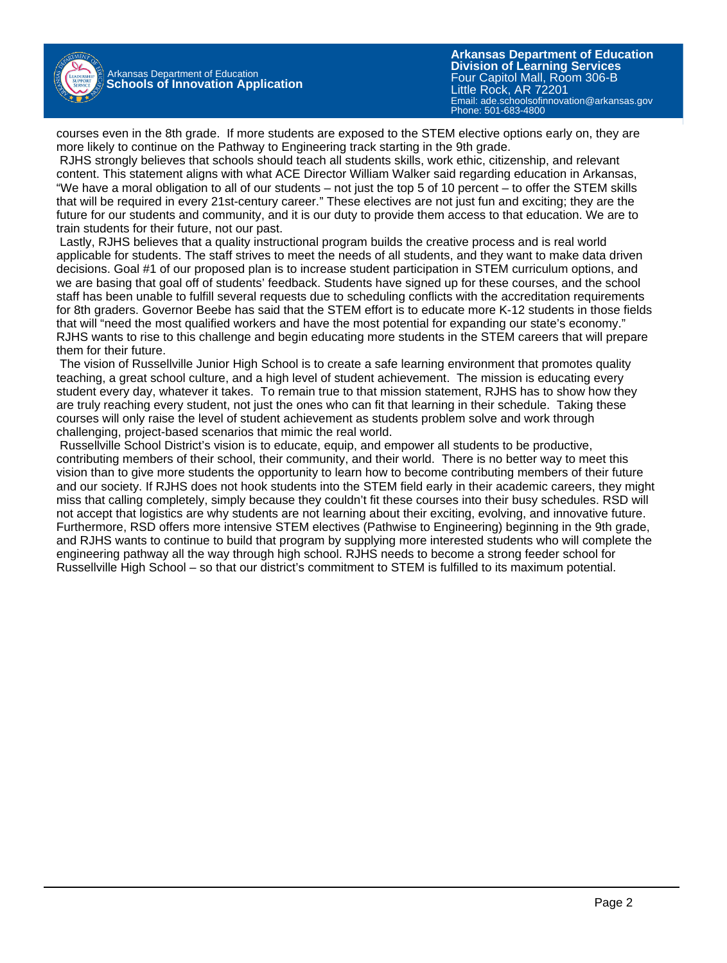

Arkansas Department of Education **Schools of Innovation Application**

**Arkansas Department of Education** Email: ade.schoolsofinnovation@arkansas.gov **Division of Learning Services** Four Capitol Mall, Room 306-B Little Rock, AR 72201 Phone: 501-683-4800

courses even in the 8th grade. If more students are exposed to the STEM elective options early on, they are more likely to continue on the Pathway to Engineering track starting in the 9th grade.

 RJHS strongly believes that schools should teach all students skills, work ethic, citizenship, and relevant content. This statement aligns with what ACE Director William Walker said regarding education in Arkansas, "We have a moral obligation to all of our students – not just the top 5 of 10 percent – to offer the STEM skills that will be required in every 21st-century career." These electives are not just fun and exciting; they are the future for our students and community, and it is our duty to provide them access to that education. We are to train students for their future, not our past.

 Lastly, RJHS believes that a quality instructional program builds the creative process and is real world applicable for students. The staff strives to meet the needs of all students, and they want to make data driven decisions. Goal #1 of our proposed plan is to increase student participation in STEM curriculum options, and we are basing that goal off of students' feedback. Students have signed up for these courses, and the school staff has been unable to fulfill several requests due to scheduling conflicts with the accreditation requirements for 8th graders. Governor Beebe has said that the STEM effort is to educate more K-12 students in those fields that will "need the most qualified workers and have the most potential for expanding our state's economy." RJHS wants to rise to this challenge and begin educating more students in the STEM careers that will prepare them for their future.

 The vision of Russellville Junior High School is to create a safe learning environment that promotes quality teaching, a great school culture, and a high level of student achievement. The mission is educating every student every day, whatever it takes. To remain true to that mission statement, RJHS has to show how they are truly reaching every student, not just the ones who can fit that learning in their schedule. Taking these courses will only raise the level of student achievement as students problem solve and work through challenging, project-based scenarios that mimic the real world.

 Russellville School District's vision is to educate, equip, and empower all students to be productive, contributing members of their school, their community, and their world. There is no better way to meet this vision than to give more students the opportunity to learn how to become contributing members of their future and our society. If RJHS does not hook students into the STEM field early in their academic careers, they might miss that calling completely, simply because they couldn't fit these courses into their busy schedules. RSD will not accept that logistics are why students are not learning about their exciting, evolving, and innovative future. Furthermore, RSD offers more intensive STEM electives (Pathwise to Engineering) beginning in the 9th grade, and RJHS wants to continue to build that program by supplying more interested students who will complete the engineering pathway all the way through high school. RJHS needs to become a strong feeder school for Russellville High School – so that our district's commitment to STEM is fulfilled to its maximum potential.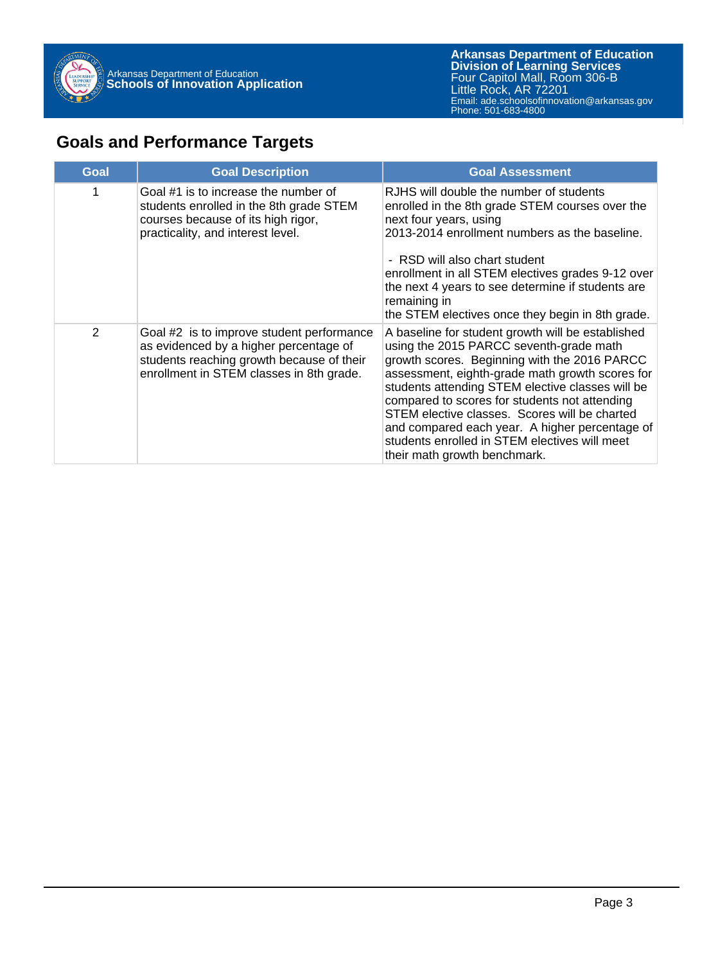

### **Goals and Performance Targets**

| Goal           | <b>Goal Description</b>                                                                                                                                                      | <b>Goal Assessment</b>                                                                                                                                                                                                                                                                                                                                                                                                                                                                   |
|----------------|------------------------------------------------------------------------------------------------------------------------------------------------------------------------------|------------------------------------------------------------------------------------------------------------------------------------------------------------------------------------------------------------------------------------------------------------------------------------------------------------------------------------------------------------------------------------------------------------------------------------------------------------------------------------------|
| 1              | Goal #1 is to increase the number of<br>students enrolled in the 8th grade STEM<br>courses because of its high rigor,<br>practicality, and interest level.                   | RJHS will double the number of students<br>enrolled in the 8th grade STEM courses over the<br>next four years, using<br>2013-2014 enrollment numbers as the baseline.<br>- RSD will also chart student<br>enrollment in all STEM electives grades 9-12 over<br>the next 4 years to see determine if students are<br>remaining in<br>the STEM electives once they begin in 8th grade.                                                                                                     |
| $\overline{2}$ | Goal #2 is to improve student performance<br>as evidenced by a higher percentage of<br>students reaching growth because of their<br>enrollment in STEM classes in 8th grade. | A baseline for student growth will be established<br>using the 2015 PARCC seventh-grade math<br>growth scores. Beginning with the 2016 PARCC<br>assessment, eighth-grade math growth scores for<br>students attending STEM elective classes will be<br>compared to scores for students not attending<br>STEM elective classes. Scores will be charted<br>and compared each year. A higher percentage of<br>students enrolled in STEM electives will meet<br>their math growth benchmark. |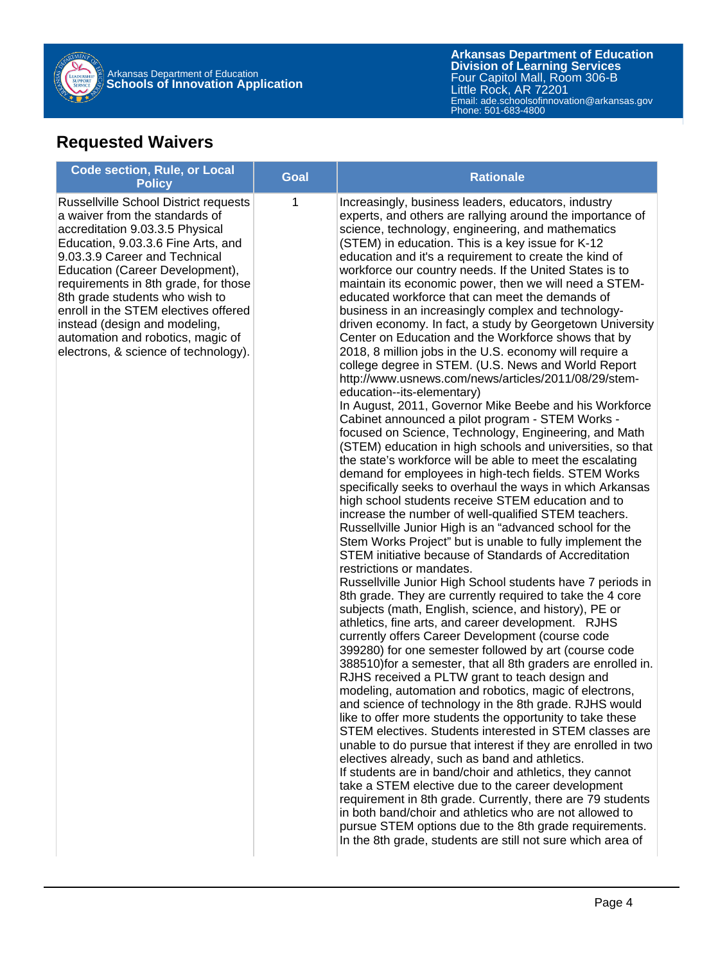

### **Requested Waivers**

| <b>Code section, Rule, or Local</b><br><b>Policy</b>                                                                                                                                                                                                                                                                                                                                                                                                        | <b>Goal</b> | <b>Rationale</b>                                                                                                                                                                                                                                                                                                                                                                                                                                                                                                                                                                                                                                                                                                                                                                                                                                                                                                                                                                                                                                                                                                                                                                                                                                                                                                                                                                                                                                                                                                                                                                                                                                                                                                                                                                                                                                                                                                                                                                                                                                                                                                                                                                                                                                                                                                                                                                                                                                                                                                                                                                                                                                                                                                                                                                                               |
|-------------------------------------------------------------------------------------------------------------------------------------------------------------------------------------------------------------------------------------------------------------------------------------------------------------------------------------------------------------------------------------------------------------------------------------------------------------|-------------|----------------------------------------------------------------------------------------------------------------------------------------------------------------------------------------------------------------------------------------------------------------------------------------------------------------------------------------------------------------------------------------------------------------------------------------------------------------------------------------------------------------------------------------------------------------------------------------------------------------------------------------------------------------------------------------------------------------------------------------------------------------------------------------------------------------------------------------------------------------------------------------------------------------------------------------------------------------------------------------------------------------------------------------------------------------------------------------------------------------------------------------------------------------------------------------------------------------------------------------------------------------------------------------------------------------------------------------------------------------------------------------------------------------------------------------------------------------------------------------------------------------------------------------------------------------------------------------------------------------------------------------------------------------------------------------------------------------------------------------------------------------------------------------------------------------------------------------------------------------------------------------------------------------------------------------------------------------------------------------------------------------------------------------------------------------------------------------------------------------------------------------------------------------------------------------------------------------------------------------------------------------------------------------------------------------------------------------------------------------------------------------------------------------------------------------------------------------------------------------------------------------------------------------------------------------------------------------------------------------------------------------------------------------------------------------------------------------------------------------------------------------------------------------------------------------|
| <b>Russellville School District requests</b><br>a waiver from the standards of<br>accreditation 9.03.3.5 Physical<br>Education, 9.03.3.6 Fine Arts, and<br>9.03.3.9 Career and Technical<br>Education (Career Development),<br>requirements in 8th grade, for those<br>8th grade students who wish to<br>enroll in the STEM electives offered<br>instead (design and modeling,<br>automation and robotics, magic of<br>electrons, & science of technology). | 1           | Increasingly, business leaders, educators, industry<br>experts, and others are rallying around the importance of<br>science, technology, engineering, and mathematics<br>(STEM) in education. This is a key issue for K-12<br>education and it's a requirement to create the kind of<br>workforce our country needs. If the United States is to<br>maintain its economic power, then we will need a STEM-<br>educated workforce that can meet the demands of<br>business in an increasingly complex and technology-<br>driven economy. In fact, a study by Georgetown University<br>Center on Education and the Workforce shows that by<br>2018, 8 million jobs in the U.S. economy will require a<br>college degree in STEM. (U.S. News and World Report<br>http://www.usnews.com/news/articles/2011/08/29/stem-<br>education--its-elementary)<br>In August, 2011, Governor Mike Beebe and his Workforce<br>Cabinet announced a pilot program - STEM Works -<br>focused on Science, Technology, Engineering, and Math<br>(STEM) education in high schools and universities, so that<br>the state's workforce will be able to meet the escalating<br>demand for employees in high-tech fields. STEM Works<br>specifically seeks to overhaul the ways in which Arkansas<br>high school students receive STEM education and to<br>increase the number of well-qualified STEM teachers.<br>Russellville Junior High is an "advanced school for the<br>Stem Works Project" but is unable to fully implement the<br>STEM initiative because of Standards of Accreditation<br>restrictions or mandates.<br>Russellville Junior High School students have 7 periods in<br>8th grade. They are currently required to take the 4 core<br>subjects (math, English, science, and history), PE or<br>athletics, fine arts, and career development. RJHS<br>currently offers Career Development (course code<br>399280) for one semester followed by art (course code<br>388510) for a semester, that all 8th graders are enrolled in.<br>RJHS received a PLTW grant to teach design and<br>modeling, automation and robotics, magic of electrons,<br>and science of technology in the 8th grade. RJHS would<br>like to offer more students the opportunity to take these<br>STEM electives. Students interested in STEM classes are<br>unable to do pursue that interest if they are enrolled in two<br>electives already, such as band and athletics.<br>If students are in band/choir and athletics, they cannot<br>take a STEM elective due to the career development<br>requirement in 8th grade. Currently, there are 79 students<br>in both band/choir and athletics who are not allowed to<br>pursue STEM options due to the 8th grade requirements.<br>In the 8th grade, students are still not sure which area of |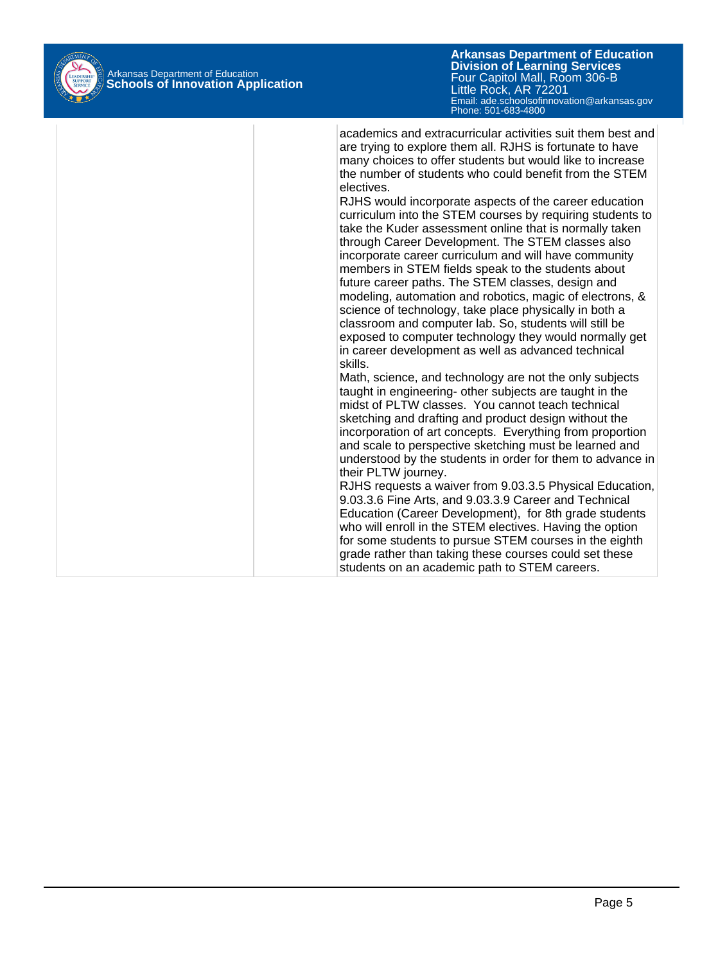

**Arkansas Department of Education** Email: ade.schoolsofinnovation@arkansas.gov Phone: 501-683-4800**Division of Learning Services** Four Capitol Mall, Room 306-B Little Rock, AR 72201

academics and extracurricular activities suit them best and are trying to explore them all. RJHS is fortunate to have many choices to offer students but would like to increase the number of students who could benefit from the STEM electives. RJHS would incorporate aspects of the career education curriculum into the STEM courses by requiring students to take the Kuder assessment online that is normally taken through Career Development. The STEM classes also incorporate career curriculum and will have community members in STEM fields speak to the students about future career paths. The STEM classes, design and modeling, automation and robotics, magic of electrons, & science of technology, take place physically in both a classroom and computer lab. So, students will still be exposed to computer technology they would normally get in career development as well as advanced technical skills. Math, science, and technology are not the only subjects taught in engineering- other subjects are taught in the midst of PLTW classes. You cannot teach technical sketching and drafting and product design without the incorporation of art concepts. Everything from proportion and scale to perspective sketching must be learned and understood by the students in order for them to advance in their PLTW journey. RJHS requests a waiver from 9.03.3.5 Physical Education, 9.03.3.6 Fine Arts, and 9.03.3.9 Career and Technical Education (Career Development), for 8th grade students who will enroll in the STEM electives. Having the option for some students to pursue STEM courses in the eighth grade rather than taking these courses could set these students on an academic path to STEM careers.